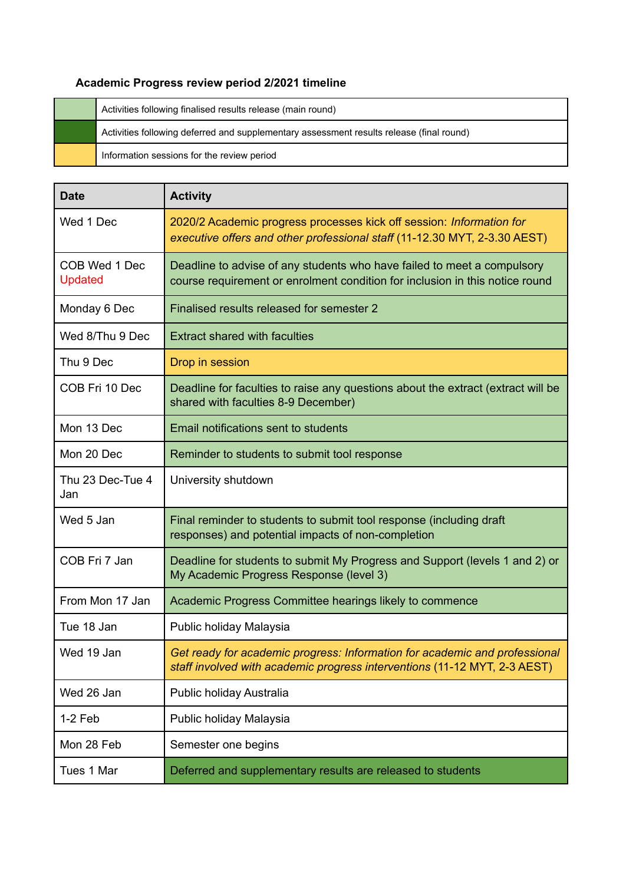## **Academic Progress review period 2/2021 timeline**

| Activities following finalised results release (main round)                              |
|------------------------------------------------------------------------------------------|
| Activities following deferred and supplementary assessment results release (final round) |
| Information sessions for the review period                                               |

| <b>Date</b>                     | <b>Activity</b>                                                                                                                                         |
|---------------------------------|---------------------------------------------------------------------------------------------------------------------------------------------------------|
| Wed 1 Dec                       | 2020/2 Academic progress processes kick off session: Information for<br>executive offers and other professional staff (11-12.30 MYT, 2-3.30 AEST)       |
| COB Wed 1 Dec<br><b>Updated</b> | Deadline to advise of any students who have failed to meet a compulsory<br>course requirement or enrolment condition for inclusion in this notice round |
| Monday 6 Dec                    | Finalised results released for semester 2                                                                                                               |
| Wed 8/Thu 9 Dec                 | <b>Extract shared with faculties</b>                                                                                                                    |
| Thu 9 Dec                       | Drop in session                                                                                                                                         |
| COB Fri 10 Dec                  | Deadline for faculties to raise any questions about the extract (extract will be<br>shared with faculties 8-9 December)                                 |
| Mon 13 Dec                      | Email notifications sent to students                                                                                                                    |
| Mon 20 Dec                      | Reminder to students to submit tool response                                                                                                            |
| Thu 23 Dec-Tue 4<br>Jan         | University shutdown                                                                                                                                     |
| Wed 5 Jan                       | Final reminder to students to submit tool response (including draft<br>responses) and potential impacts of non-completion                               |
| COB Fri 7 Jan                   | Deadline for students to submit My Progress and Support (levels 1 and 2) or<br>My Academic Progress Response (level 3)                                  |
| From Mon 17 Jan                 | Academic Progress Committee hearings likely to commence                                                                                                 |
| Tue 18 Jan                      | Public holiday Malaysia                                                                                                                                 |
| Wed 19 Jan                      | Get ready for academic progress: Information for academic and professional<br>staff involved with academic progress interventions (11-12 MYT, 2-3 AEST) |
| Wed 26 Jan                      | Public holiday Australia                                                                                                                                |
| $1-2$ Feb                       | Public holiday Malaysia                                                                                                                                 |
| Mon 28 Feb                      | Semester one begins                                                                                                                                     |
| Tues 1 Mar                      | Deferred and supplementary results are released to students                                                                                             |